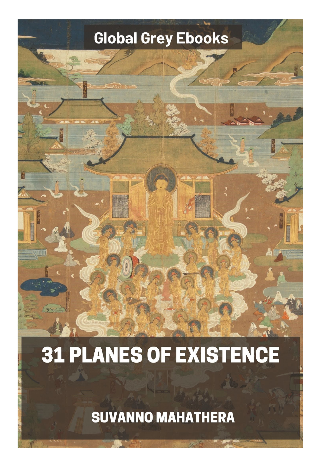## Global Grey Ebooks

## **31 PLANES OF EXISTENCE**

**SUVANNO MAHATHERA**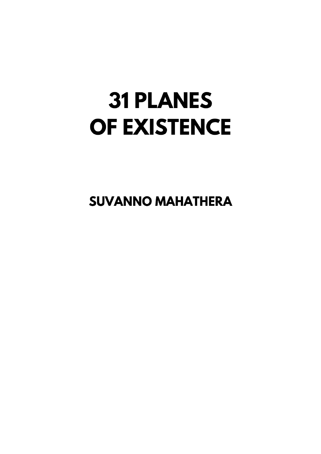## **31 PLANES** OF EXISTENCE

**SUVANNO MAHATHERA**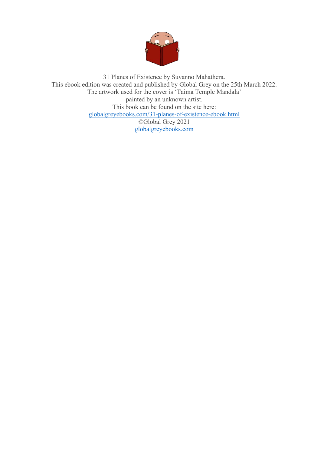

31 Planes of Existence by Suvanno Mahathera. This ebook edition was created and published by Global Grey on the 25th March 2022. The artwork used for the cover is 'Taima Temple Mandala' painted by an unknown artist. This book can be found on the site here: [globalgreyebooks.com/31-planes-of-existence-ebook.html](https://www.globalgreyebooks.com/31-planes-of-existence-ebook.html) ©Global Grey 2021 [globalgreyebooks.com](https://www.globalgreyebooks.com/)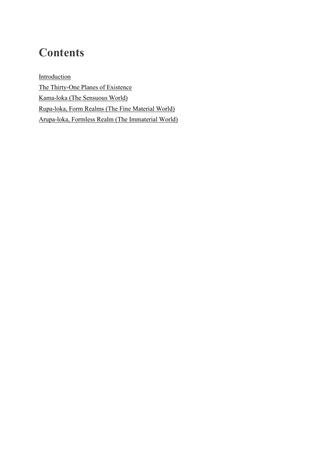## **Contents**

**[Introduction](#page-4-0)** [The Thirty-One Planes of Existence](#page-8-0) [Kama-loka \(The Sensuous World\)](#page-11-0) [Rupa-loka, Form Realms \(The Fine Material World\)](#page-15-0) [Arupa-loka, Formless Realm \(The Immaterial World\)](#page-17-0)